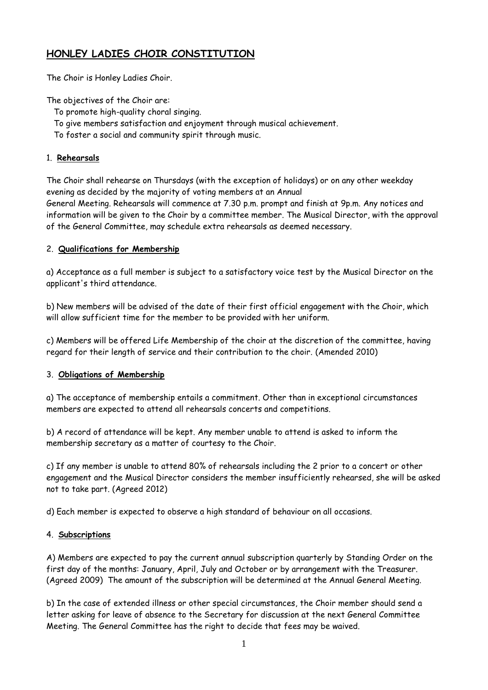# **HONLEY LADIES CHOIR CONSTITUTION**

The Choir is Honley Ladies Choir.

The objectives of the Choir are:

- To promote high-quality choral singing.
- To give members satisfaction and enjoyment through musical achievement.
- To foster a social and community spirit through music.

## 1. **Rehearsals**

The Choir shall rehearse on Thursdays (with the exception of holidays) or on any other weekday evening as decided by the majority of voting members at an Annual General Meeting. Rehearsals will commence at 7.30 p.m. prompt and finish at 9p.m. Any notices and information will be given to the Choir by a committee member. The Musical Director, with the approval of the General Committee, may schedule extra rehearsals as deemed necessary.

## 2. **Qualifications for Membership**

a) Acceptance as a full member is subject to a satisfactory voice test by the Musical Director on the applicant's third attendance.

b) New members will be advised of the date of their first official engagement with the Choir, which will allow sufficient time for the member to be provided with her uniform.

c) Members will be offered Life Membership of the choir at the discretion of the committee, having regard for their length of service and their contribution to the choir. (Amended 2010)

### 3. **Obligations of Membership**

a) The acceptance of membership entails a commitment. Other than in exceptional circumstances members are expected to attend all rehearsals concerts and competitions.

b) A record of attendance will be kept. Any member unable to attend is asked to inform the membership secretary as a matter of courtesy to the Choir.

c) If any member is unable to attend 80% of rehearsals including the 2 prior to a concert or other engagement and the Musical Director considers the member insufficiently rehearsed, she will be asked not to take part. (Agreed 2012)

d) Each member is expected to observe a high standard of behaviour on all occasions.

### 4. **Subscriptions**

A) Members are expected to pay the current annual subscription quarterly by Standing Order on the first day of the months: January, April, July and October or by arrangement with the Treasurer. (Agreed 2009) The amount of the subscription will be determined at the Annual General Meeting.

b) In the case of extended illness or other special circumstances, the Choir member should send a letter asking for leave of absence to the Secretary for discussion at the next General Committee Meeting. The General Committee has the right to decide that fees may be waived.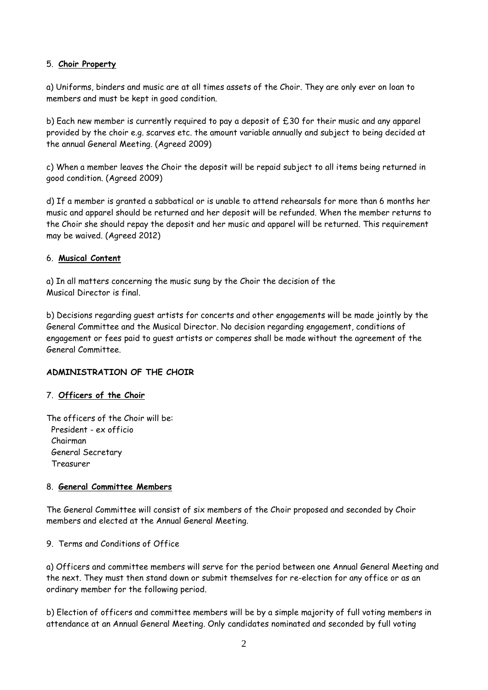#### 5. **Choir Property**

a) Uniforms, binders and music are at all times assets of the Choir. They are only ever on loan to members and must be kept in good condition.

b) Each new member is currently required to pay a deposit of £30 for their music and any apparel provided by the choir e.g. scarves etc. the amount variable annually and subject to being decided at the annual General Meeting. (Agreed 2009)

c) When a member leaves the Choir the deposit will be repaid subject to all items being returned in good condition. (Agreed 2009)

d) If a member is granted a sabbatical or is unable to attend rehearsals for more than 6 months her music and apparel should be returned and her deposit will be refunded. When the member returns to the Choir she should repay the deposit and her music and apparel will be returned. This requirement may be waived. (Agreed 2012)

#### 6. **Musical Content**

a) In all matters concerning the music sung by the Choir the decision of the Musical Director is final.

b) Decisions regarding guest artists for concerts and other engagements will be made jointly by the General Committee and the Musical Director. No decision regarding engagement, conditions of engagement or fees paid to guest artists or comperes shall be made without the agreement of the General Committee.

### **ADMINISTRATION OF THE CHOIR**

### 7. **Officers of the Choir**

The officers of the Choir will be: President - ex officio Chairman General Secretary Treasurer

### 8. **General Committee Members**

The General Committee will consist of six members of the Choir proposed and seconded by Choir members and elected at the Annual General Meeting.

### 9. Terms and Conditions of Office

a) Officers and committee members will serve for the period between one Annual General Meeting and the next. They must then stand down or submit themselves for re-election for any office or as an ordinary member for the following period.

b) Election of officers and committee members will be by a simple majority of full voting members in attendance at an Annual General Meeting. Only candidates nominated and seconded by full voting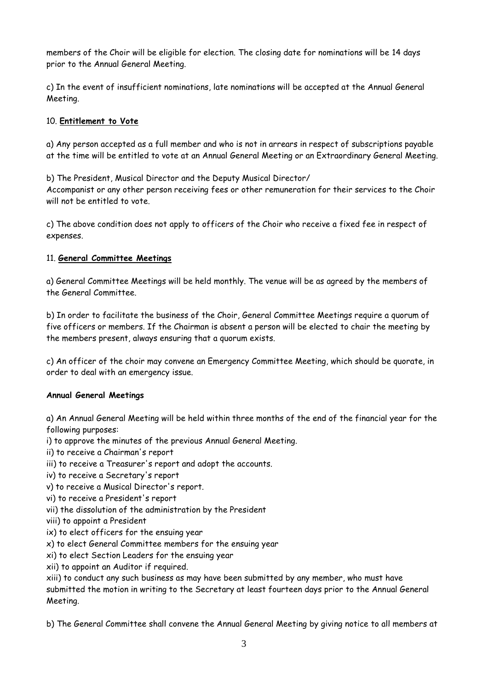members of the Choir will be eligible for election. The closing date for nominations will be 14 days prior to the Annual General Meeting.

c) In the event of insufficient nominations, late nominations will be accepted at the Annual General Meeting.

## 10. **Entitlement to Vote**

a) Any person accepted as a full member and who is not in arrears in respect of subscriptions payable at the time will be entitled to vote at an Annual General Meeting or an Extraordinary General Meeting.

b) The President, Musical Director and the Deputy Musical Director/ Accompanist or any other person receiving fees or other remuneration for their services to the Choir will not be entitled to vote.

c) The above condition does not apply to officers of the Choir who receive a fixed fee in respect of expenses.

## 11. **General Committee Meetings**

a) General Committee Meetings will be held monthly. The venue will be as agreed by the members of the General Committee.

b) In order to facilitate the business of the Choir, General Committee Meetings require a quorum of five officers or members. If the Chairman is absent a person will be elected to chair the meeting by the members present, always ensuring that a quorum exists.

c) An officer of the choir may convene an Emergency Committee Meeting, which should be quorate, in order to deal with an emergency issue.

### **Annual General Meetings**

a) An Annual General Meeting will be held within three months of the end of the financial year for the following purposes:

i) to approve the minutes of the previous Annual General Meeting.

ii) to receive a Chairman's report

- iii) to receive a Treasurer's report and adopt the accounts.
- iv) to receive a Secretary's report
- v) to receive a Musical Director's report.
- vi) to receive a President's report
- vii) the dissolution of the administration by the President
- viii) to appoint a President
- ix) to elect officers for the ensuing year
- x) to elect General Committee members for the ensuing year
- xi) to elect Section Leaders for the ensuing year
- xii) to appoint an Auditor if required.

xiii) to conduct any such business as may have been submitted by any member, who must have submitted the motion in writing to the Secretary at least fourteen days prior to the Annual General Meeting.

b) The General Committee shall convene the Annual General Meeting by giving notice to all members at